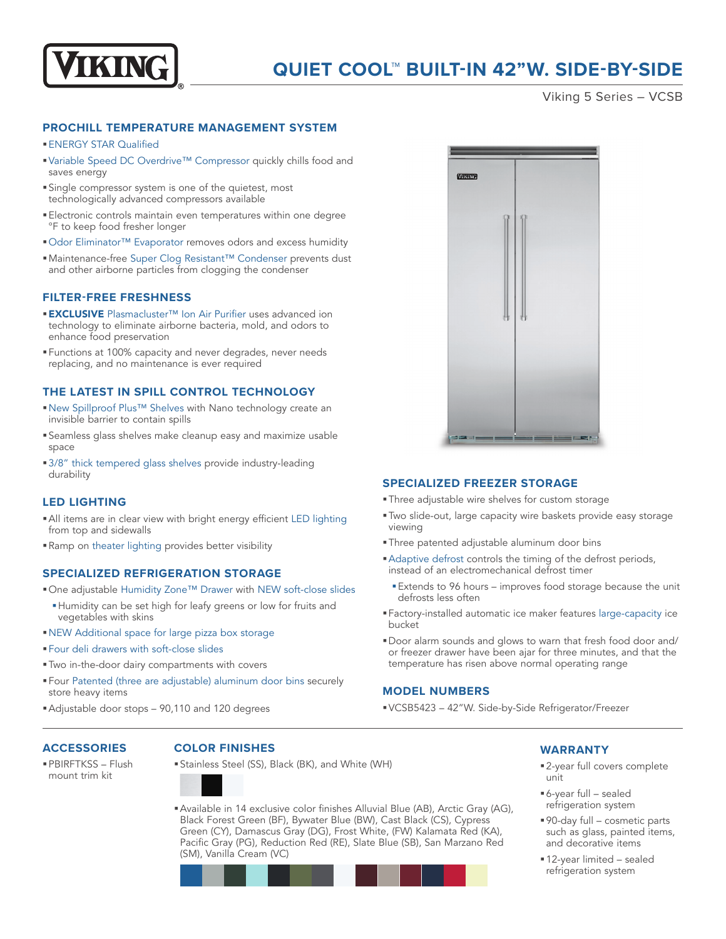

# **QUIET COOL™ BUILT-IN 42"W. SIDE-BY-SIDE**

Viking 5 Series – VCSB

### **PROCHILL TEMPERATURE MANAGEMENT SYSTEM**

### §ENERGY STAR Qualified

- Variable Speed DC Overdrive™ Compressor quickly chills food and saves energy
- §Single compressor system is one of the quietest, most technologically advanced compressors available
- §Electronic controls maintain even temperatures within one degree °F to keep food fresher longer
- Odor Eliminator™ Evaporator removes odors and excess humidity
- Maintenance-free Super Clog Resistant™ Condenser prevents dust and other airborne particles from clogging the condenser

### **FILTER-FREE FRESHNESS**

- **EXCLUSIVE** Plasmacluster™ Ion Air Purifier uses advanced ion technology to eliminate airborne bacteria, mold, and odors to enhance food preservation
- §Functions at 100% capacity and never degrades, never needs replacing, and no maintenance is ever required

### **THE LATEST IN SPILL CONTROL TECHNOLOGY**

- New Spillproof Plus™ Shelves with Nano technology create an invisible barrier to contain spills
- §Seamless glass shelves make cleanup easy and maximize usable space
- 3/8" thick tempered glass shelves provide industry-leading durability

# **LED LIGHTING**

- §All items are in clear view with bright energy efficient LED lighting from top and sidewalls
- §Ramp on theater lighting provides better visibility

### **SPECIALIZED REFRIGERATION STORAGE**

- One adjustable Humidity Zone™ Drawer with NEW soft-close slides
- §Humidity can be set high for leafy greens or low for fruits and vegetables with skins
- §NEW Additional space for large pizza box storage
- §Four deli drawers with soft-close slides
- §Two in-the-door dairy compartments with covers
- §Four Patented (three are adjustable) aluminum door bins securely store heavy items
- Adjustable door stops 90,110 and 120 degrees

# Missive

### **SPECIALIZED FREEZER STORAGE**

- §Three adjustable wire shelves for custom storage
- §Two slide-out, large capacity wire baskets provide easy storage viewing
- §Three patented adjustable aluminum door bins
- §Adaptive defrost controls the timing of the defrost periods, instead of an electromechanical defrost timer
- Extends to 96 hours improves food storage because the unit defrosts less often
- §Factory-installed automatic ice maker features large-capacity ice bucket
- §Door alarm sounds and glows to warn that fresh food door and/ or freezer drawer have been ajar for three minutes, and that the temperature has risen above normal operating range

### **MODEL NUMBERS**

§VCSB5423 – 42"W. Side-by-Side Refrigerator/Freezer

### **ACCESSORIES**

§PBIRFTKSS – Flush mount trim kit

### **COLOR FINISHES**

- §Stainless Steel (SS), Black (BK), and White (WH)
- §Available in 14 exclusive color finishes Alluvial Blue (AB), Arctic Gray (AG), Black Forest Green (BF), Bywater Blue (BW), Cast Black (CS), Cypress Green (CY), Damascus Gray (DG), Frost White, (FW) Kalamata Red (KA), Pacific Gray (PG), Reduction Red (RE), Slate Blue (SB), San Marzano Red (SM), Vanilla Cream (VC)



# **WARRANTY**

- 2-year full covers complete unit
- §6-year full sealed refrigeration system
- §90-day full cosmetic parts such as glass, painted items, and decorative items
- §12-year limited sealed refrigeration system